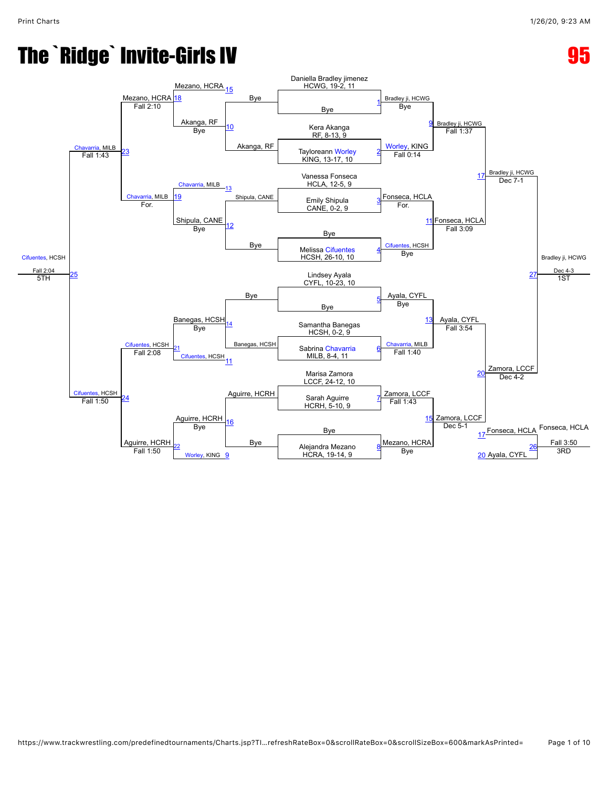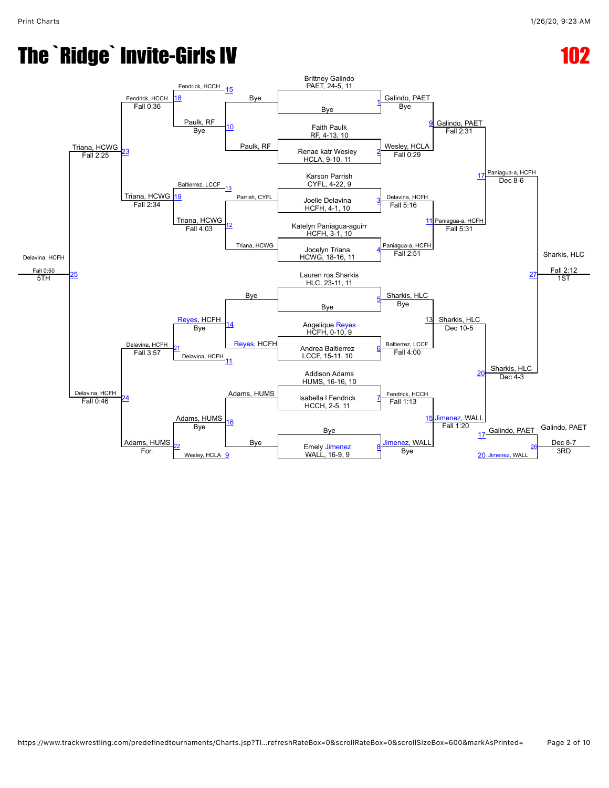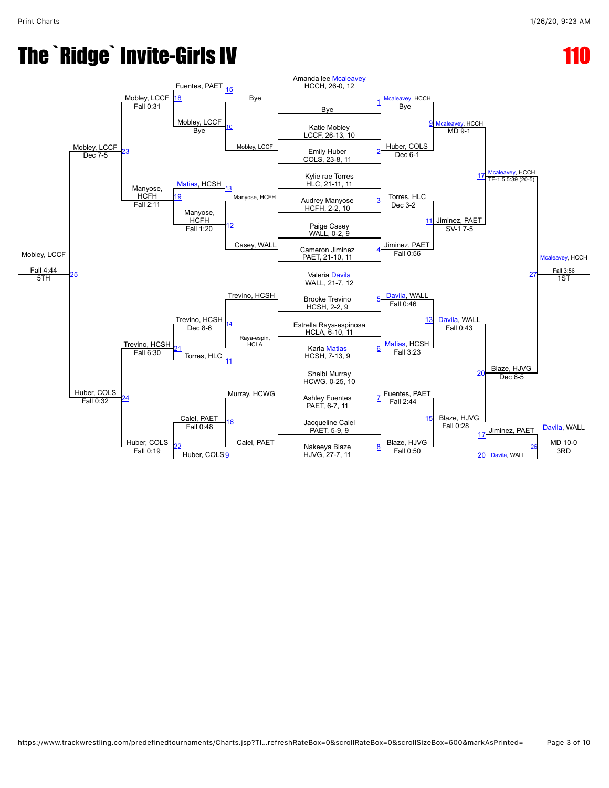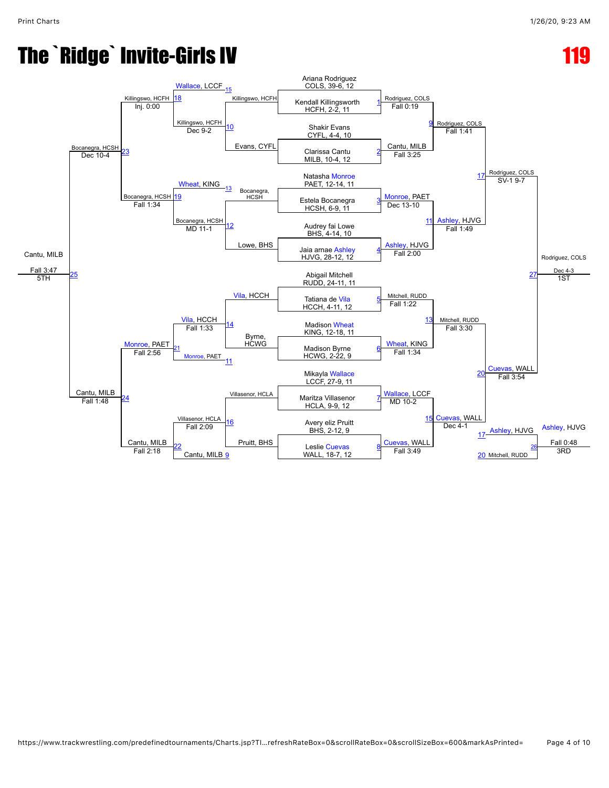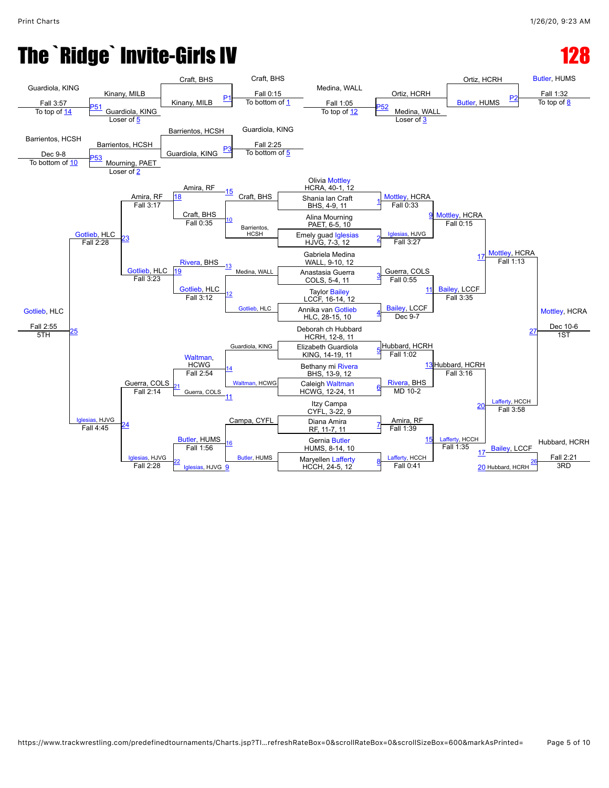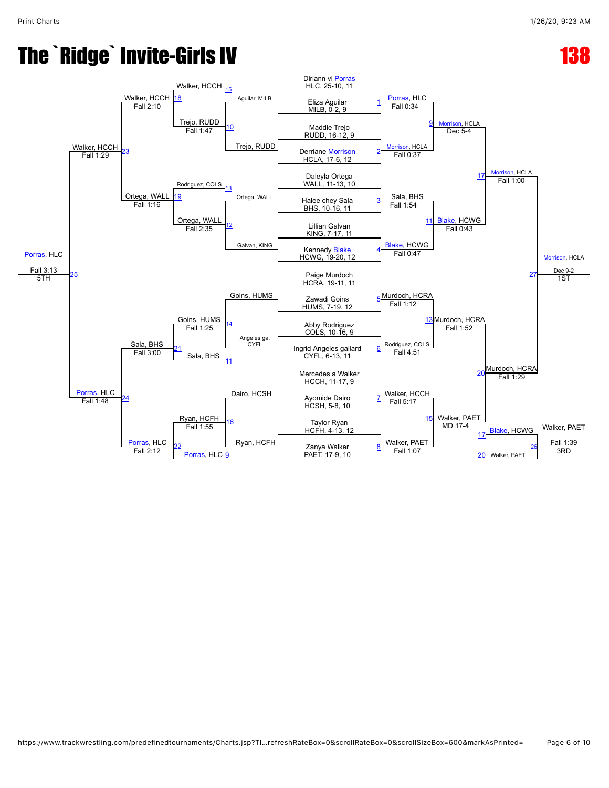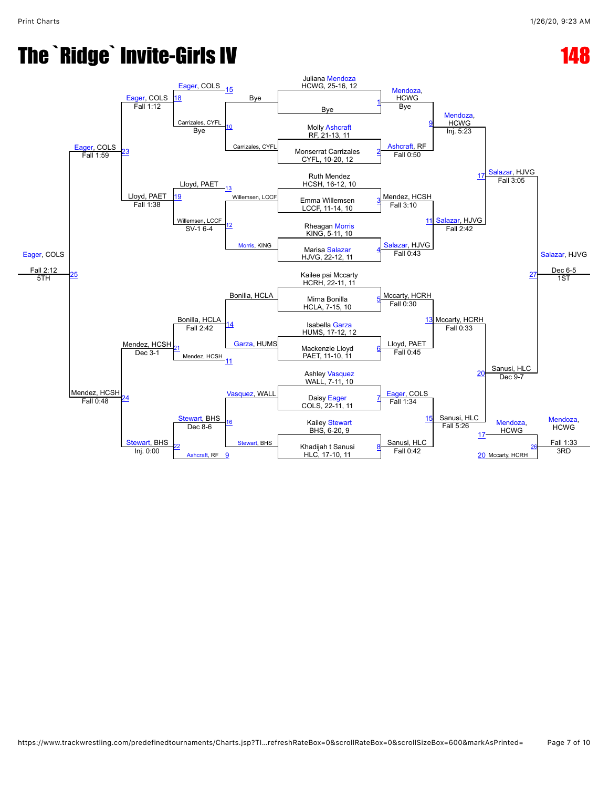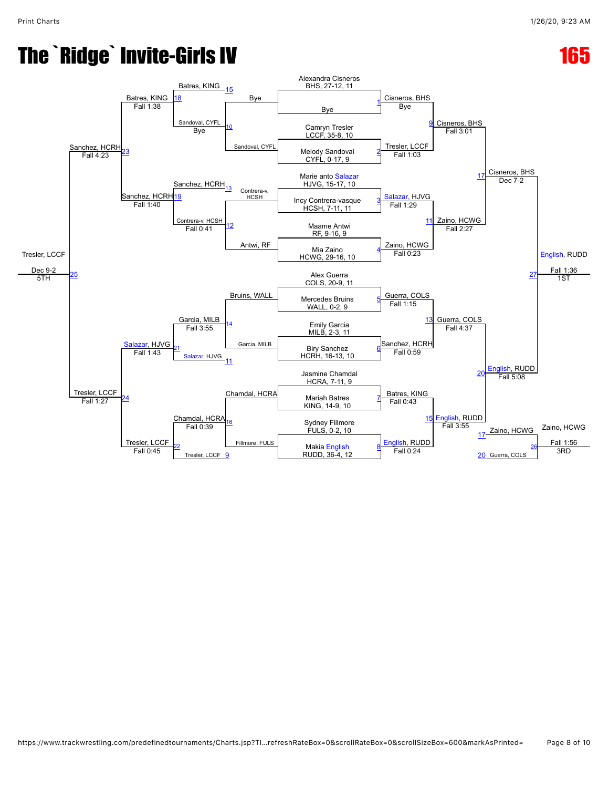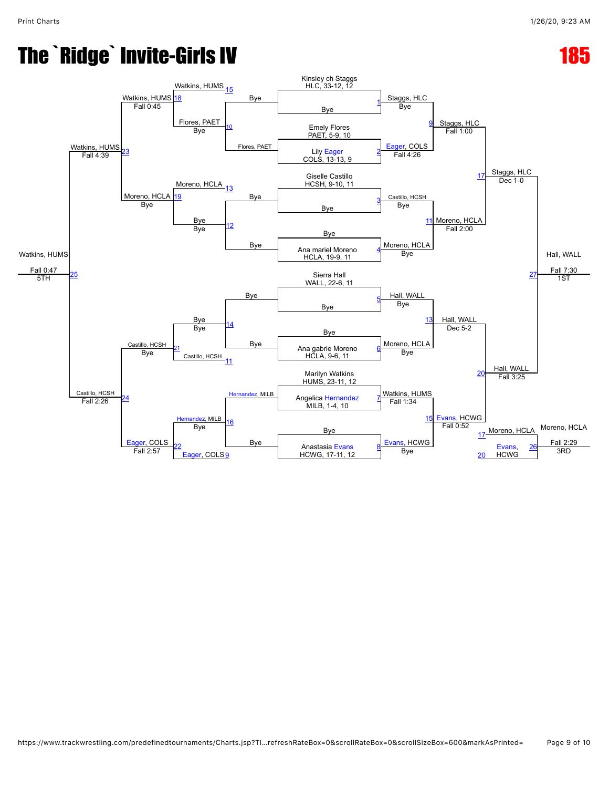